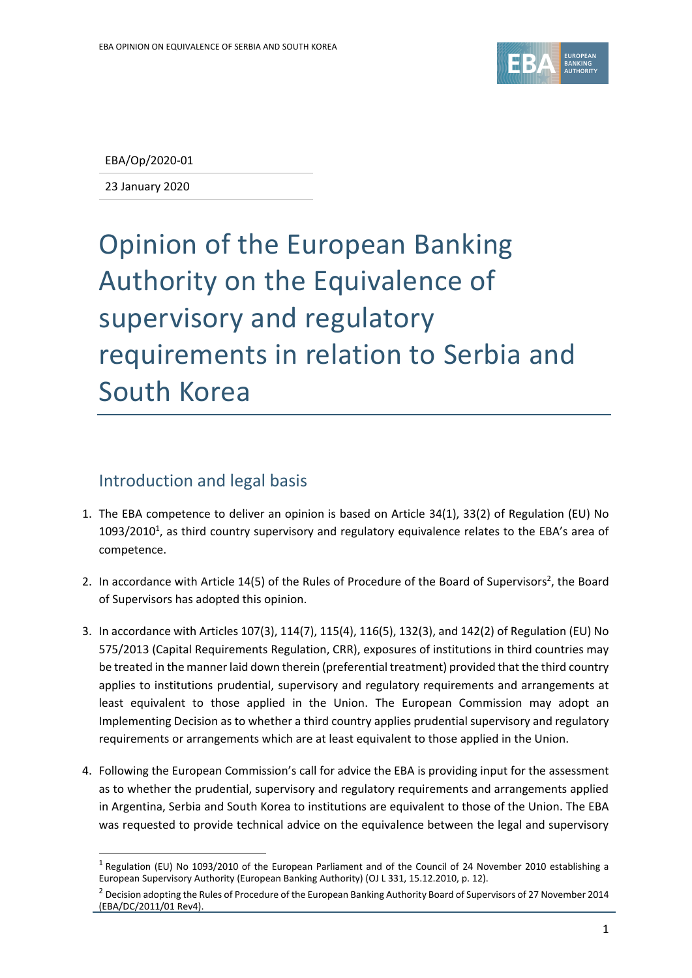

EBA/Op/2020-01

23 January 2020

## Opinion of the European Banking Authority on the Equivalence of supervisory and regulatory requirements in relation to Serbia and South Korea

## Introduction and legal basis

 $\overline{a}$ 

- 1. The EBA competence to deliver an opinion is based on Article 34(1), 33(2) of Regulation (EU) No 1093/2010<sup>1</sup>, as third country supervisory and regulatory equivalence relates to the EBA's area of competence.
- 2. In accordance with Article 14(5) of the Rules of Procedure of the Board of Supervisors<sup>2</sup>, the Board of Supervisors has adopted this opinion.
- 3. In accordance with Articles 107(3), 114(7), 115(4), 116(5), 132(3), and 142(2) of Regulation (EU) No 575/2013 (Capital Requirements Regulation, CRR), exposures of institutions in third countries may be treated in the manner laid down therein (preferential treatment) provided that the third country applies to institutions prudential, supervisory and regulatory requirements and arrangements at least equivalent to those applied in the Union. The European Commission may adopt an Implementing Decision as to whether a third country applies prudential supervisory and regulatory requirements or arrangements which are at least equivalent to those applied in the Union.
- 4. Following the European Commission's call for advice the EBA is providing input for the assessment as to whether the prudential, supervisory and regulatory requirements and arrangements applied in Argentina, Serbia and South Korea to institutions are equivalent to those of the Union. The EBA was requested to provide technical advice on the equivalence between the legal and supervisory

<sup>&</sup>lt;sup>1</sup> Regulation (EU) No 1093/2010 of the European Parliament and of the Council of 24 November 2010 establishing a European Supervisory Authority (European Banking Authority) (OJ L 331, 15.12.2010, p. 12).

<sup>&</sup>lt;sup>2</sup> Decision adopting the Rules of Procedure of the European Banking Authority Board of Supervisors of 27 November 2014 (EBA/DC/2011/01 Rev4).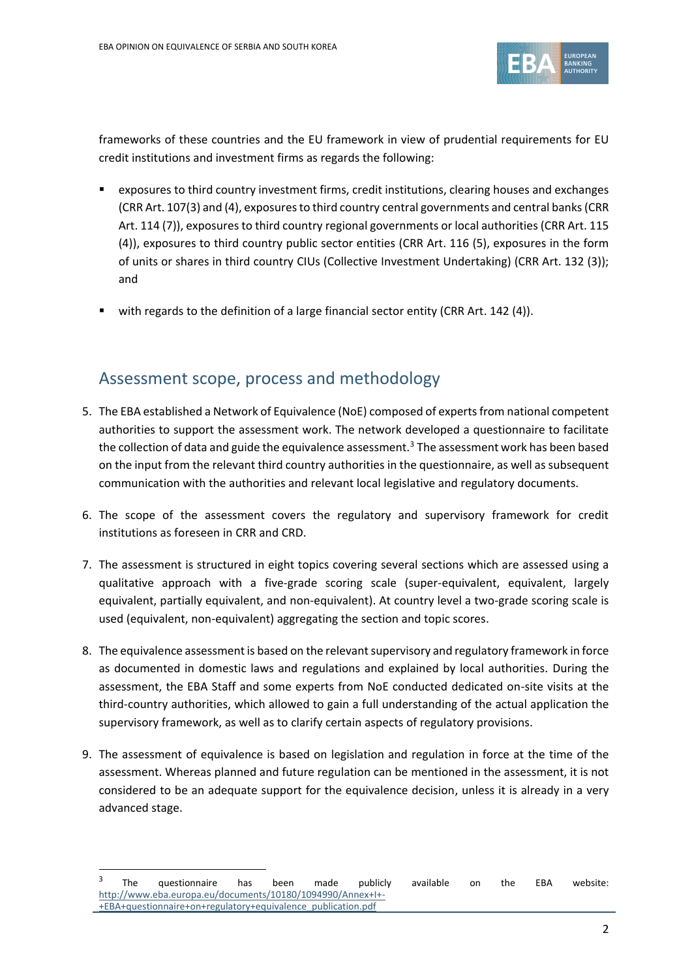

frameworks of these countries and the EU framework in view of prudential requirements for EU credit institutions and investment firms as regards the following:

- exposures to third country investment firms, credit institutions, clearing houses and exchanges (CRR Art. 107(3) and (4), exposures to third country central governments and central banks(CRR Art. 114 (7)), exposures to third country regional governments or local authorities (CRR Art. 115 (4)), exposures to third country public sector entities (CRR Art. 116 (5), exposures in the form of units or shares in third country CIUs (Collective Investment Undertaking) (CRR Art. 132 (3)); and
- with regards to the definition of a large financial sector entity (CRR Art. 142 (4)).

## Assessment scope, process and methodology

- 5. The EBA established a Network of Equivalence (NoE) composed of experts from national competent authorities to support the assessment work. The network developed a questionnaire to facilitate the collection of data and guide the equivalence assessment.<sup>3</sup> The assessment work has been based on the input from the relevant third country authorities in the questionnaire, as well as subsequent communication with the authorities and relevant local legislative and regulatory documents.
- 6. The scope of the assessment covers the regulatory and supervisory framework for credit institutions as foreseen in CRR and CRD.
- 7. The assessment is structured in eight topics covering several sections which are assessed using a qualitative approach with a five-grade scoring scale (super-equivalent, equivalent, largely equivalent, partially equivalent, and non-equivalent). At country level a two-grade scoring scale is used (equivalent, non-equivalent) aggregating the section and topic scores.
- 8. The equivalence assessment is based on the relevant supervisory and regulatory framework in force as documented in domestic laws and regulations and explained by local authorities. During the assessment, the EBA Staff and some experts from NoE conducted dedicated on-site visits at the third-country authorities, which allowed to gain a full understanding of the actual application the supervisory framework, as well as to clarify certain aspects of regulatory provisions.
- 9. The assessment of equivalence is based on legislation and regulation in force at the time of the assessment. Whereas planned and future regulation can be mentioned in the assessment, it is not considered to be an adequate support for the equivalence decision, unless it is already in a very advanced stage.

 $\overline{a}$ 

<sup>3</sup> The questionnaire has been made publicly available on the EBA website: [http://www.eba.europa.eu/documents/10180/1094990/Annex+I+-](http://www.eba.europa.eu/documents/10180/1094990/Annex+I+-+EBA+questionnaire+on+regulatory+equivalence_publication.pdf) [+EBA+questionnaire+on+regulatory+equivalence\\_publication.pdf](http://www.eba.europa.eu/documents/10180/1094990/Annex+I+-+EBA+questionnaire+on+regulatory+equivalence_publication.pdf)